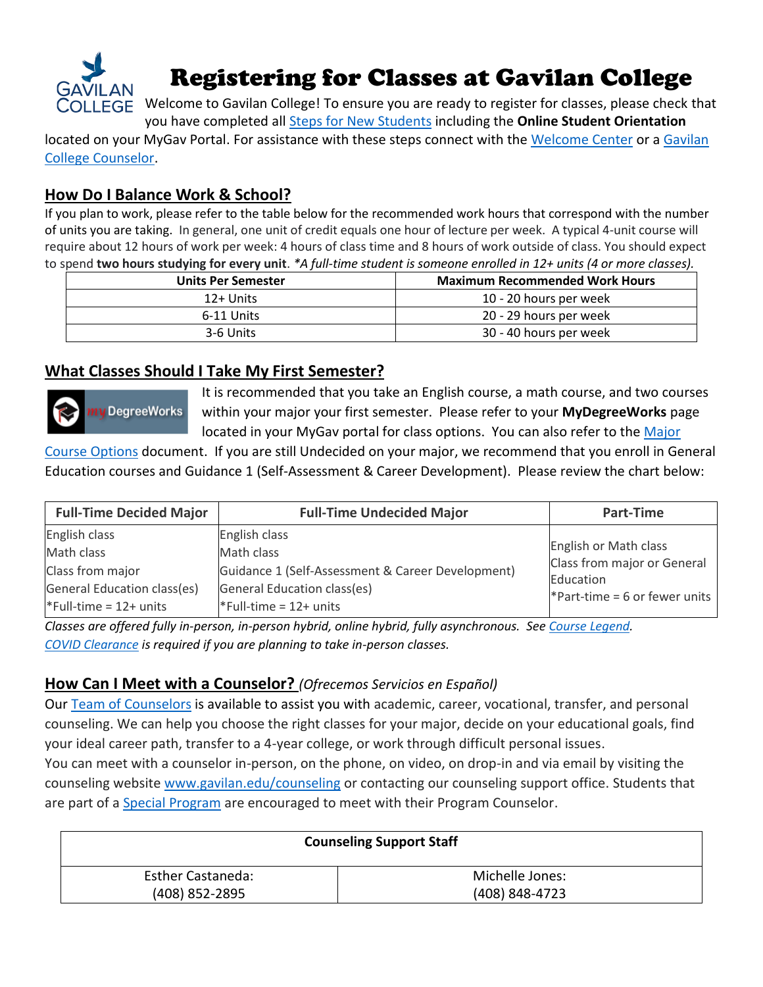

# Registering for Classes at Gavilan College

Welcome to Gavilan College! To ensure you are ready to register for classes, please check that you have completed all [Steps for New Students](https://nam12.safelinks.protection.outlook.com/?url=https%3A%2F%2Fwww.gavilan.edu%2Fwelcome%2Fsteps_4new_students.php&data=04%7C01%7Cbarteaga%40gavilan.edu%7Cf337558813cb4ccc2d8d08da093e9c54%7C4ad609c391564b8994960c0600aeb0bb%7C0%7C0%7C637832461776088576%7CUnknown%7CTWFpbGZsb3d8eyJWIjoiMC4wLjAwMDAiLCJQIjoiV2luMzIiLCJBTiI6Ik1haWwiLCJXVCI6Mn0%3D%7C3000&sdata=W6hHfEyOZL2d7ctlrY2PDnBonbo5u71IxUvaInTI6u8%3D&reserved=0) including the **Online Student Orientation**

located on your MyGav Portal. For assistance with these steps connect with the [Welcome Center](https://www.gavilan.edu/student/welcome_center/) or a Gavilan [College Counselor.](https://www.gavilan.edu/counseling/index.php)

#### **How Do I Balance Work & School?**

If you plan to work, please refer to the table below for the recommended work hours that correspond with the number of units you are taking. In general, one unit of credit equals one hour of lecture per week. A typical 4-unit course will require about 12 hours of work per week: 4 hours of class time and 8 hours of work outside of class. You should expect to spend **two hours studying for every unit**. *\*A full-time student is someone enrolled in 12+ units (4 or more classes).*

| <b>Units Per Semester</b> | <b>Maximum Recommended Work Hours</b> |
|---------------------------|---------------------------------------|
| 12+ Units                 | 10 - 20 hours per week                |
| 6-11 Units                | 20 - 29 hours per week                |
| 3-6 Units                 | 30 - 40 hours per week                |

#### **What Classes Should I Take My First Semester?**



It is recommended that you take an English course, a math course, and two courses within your major your first semester. Please refer to your **MyDegreeWorks** page located in your MyGav portal for class options. You can also refer to the Major

[Course Options](https://www.gavilan.edu/counseling/docs/MajorsCourseOptions1.pdf) document. If you are still Undecided on your major, we recommend that you enroll in General Education courses and Guidance 1 (Self-Assessment & Career Development). Please review the chart below:

| <b>Full-Time Decided Major</b> | <b>Full-Time Undecided Major</b>                  | Part-Time                                            |
|--------------------------------|---------------------------------------------------|------------------------------------------------------|
| English class                  | English class                                     |                                                      |
| Math class                     | Math class                                        | English or Math class<br>Class from major or General |
| Class from major               | Guidance 1 (Self-Assessment & Career Development) | Education                                            |
| General Education class(es)    | General Education class(es)                       | *Part-time = $6$ or fewer units                      |
| *Full-time = $12+$ units       | *Full-time = $12+$ units                          |                                                      |

*Classes are offered fully in-person, in-person hybrid, online hybrid, fully asynchronous. Se[e Course Legend.](https://docs.google.com/document/d/1UX9HMevjKw68KBVwS5adQ79Wzu0NG4mUbMFVhqT_TgM/edit?usp=sharing) [COVID Clearance](https://gavilan.studenthealthportal.com/) is required if you are planning to take in-person classes.* 

#### **How Can I Meet with a Counselor?** *(Ofrecemos Servicios en Español)*

Our [Team of Counselors](https://www.gavilan.edu/counseling/Counseling%20Team.php) is available to assist you with academic, career, vocational, transfer, and personal counseling. We can help you choose the right classes for your major, decide on your educational goals, find your ideal career path, transfer to a 4-year college, or work through difficult personal issues.

You can meet with a counselor in-person, on the phone, on video, on drop-in and via email by visiting the counseling website [www.gavilan.edu/counseling](http://www.gavilan.edu/counseling) or contacting our counseling support office. Students that are part of [a Special Program](https://www.gavilan.edu/counseling/Counseling%20Team.php) are encouraged to meet with their Program Counselor.

| <b>Counseling Support Staff</b> |                 |  |
|---------------------------------|-----------------|--|
| <b>Esther Castaneda:</b>        | Michelle Jones: |  |
| (408) 852-2895                  | (408) 848-4723  |  |